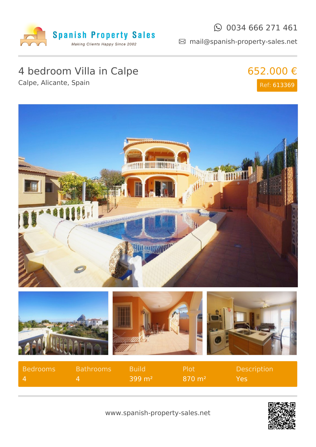

#### $\odot$  0034 666 271 461

mail@spanish-property-sales.net

## 4 bedroom Villa in Calpe

Calpe, Alicante, Spain





| Bedrooms | <b>Bathrooms</b> | <b>N</b> Build         | - Plot                | Description |
|----------|------------------|------------------------|-----------------------|-------------|
|          |                  | $-399 \; \mathrm{m}^2$ | $870 \; \mathrm{m}^2$ | Yes.        |



www.spanish-property-sales.net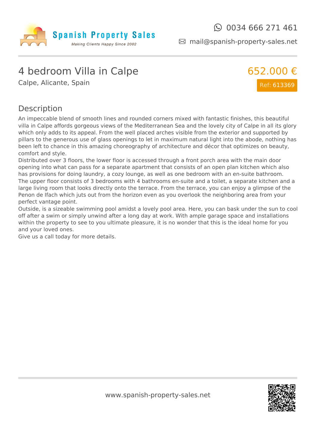

mail@spanish-property-sales.net

### 4 bedroom Villa in Calpe

Calpe, Alicante, Spain



#### Description

An impeccable blend of smooth lines and rounded corners mixed with fantastic finishes, this beautiful villa in Calpe affords gorgeous views of the Mediterranean Sea and the lovely city of Calpe in all its glory which only adds to its appeal. From the well placed arches visible from the exterior and supported by pillars to the generous use of glass openings to let in maximum natural light into the abode, nothing has been left to chance in this amazing choreography of architecture and décor that optimizes on beauty, comfort and style.

Distributed over 3 floors, the lower floor is accessed through a front porch area with the main door opening into what can pass for a separate apartment that consists of an open plan kitchen which also has provisions for doing laundry, a cozy lounge, as well as one bedroom with an en-suite bathroom. The upper floor consists of 3 bedrooms with 4 bathrooms en-suite and a toilet, a separate kitchen and a large living room that looks directly onto the terrace. From the terrace, you can enjoy a glimpse of the Penon de Ifach which juts out from the horizon even as you overlook the neighboring area from your perfect vantage point.

Outside, is a sizeable swimming pool amidst a lovely pool area. Here, you can bask under the sun to cool off after a swim or simply unwind after a long day at work. With ample garage space and installations within the property to see to you ultimate pleasure, it is no wonder that this is the ideal home for you and your loved ones.

Give us a call today for more details.